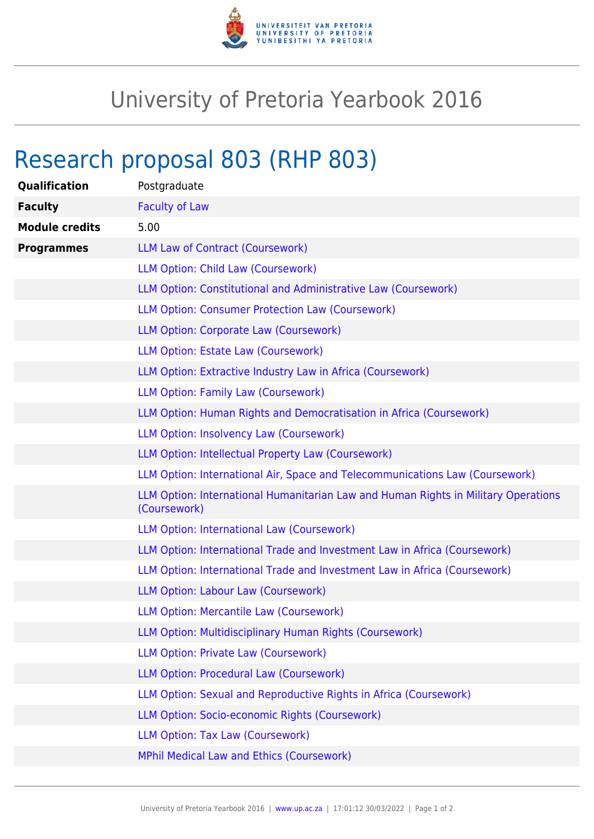

## University of Pretoria Yearbook 2016

## Research proposal 803 (RHP 803)

| Qualification         | Postgraduate                                                                                       |
|-----------------------|----------------------------------------------------------------------------------------------------|
| <b>Faculty</b>        | <b>Faculty of Law</b>                                                                              |
| <b>Module credits</b> | 5.00                                                                                               |
| <b>Programmes</b>     | LLM Law of Contract (Coursework)                                                                   |
|                       | LLM Option: Child Law (Coursework)                                                                 |
|                       | LLM Option: Constitutional and Administrative Law (Coursework)                                     |
|                       | <b>LLM Option: Consumer Protection Law (Coursework)</b>                                            |
|                       | LLM Option: Corporate Law (Coursework)                                                             |
|                       | LLM Option: Estate Law (Coursework)                                                                |
|                       | LLM Option: Extractive Industry Law in Africa (Coursework)                                         |
|                       | <b>LLM Option: Family Law (Coursework)</b>                                                         |
|                       | LLM Option: Human Rights and Democratisation in Africa (Coursework)                                |
|                       | LLM Option: Insolvency Law (Coursework)                                                            |
|                       | LLM Option: Intellectual Property Law (Coursework)                                                 |
|                       | LLM Option: International Air, Space and Telecommunications Law (Coursework)                       |
|                       | LLM Option: International Humanitarian Law and Human Rights in Military Operations<br>(Coursework) |
|                       | LLM Option: International Law (Coursework)                                                         |
|                       | LLM Option: International Trade and Investment Law in Africa (Coursework)                          |
|                       | LLM Option: International Trade and Investment Law in Africa (Coursework)                          |
|                       | LLM Option: Labour Law (Coursework)                                                                |
|                       | LLM Option: Mercantile Law (Coursework)                                                            |
|                       | LLM Option: Multidisciplinary Human Rights (Coursework)                                            |
|                       | LLM Option: Private Law (Coursework)                                                               |
|                       | LLM Option: Procedural Law (Coursework)                                                            |
|                       | LLM Option: Sexual and Reproductive Rights in Africa (Coursework)                                  |
|                       | LLM Option: Socio-economic Rights (Coursework)                                                     |
|                       | LLM Option: Tax Law (Coursework)                                                                   |
|                       | <b>MPhil Medical Law and Ethics (Coursework)</b>                                                   |
|                       |                                                                                                    |